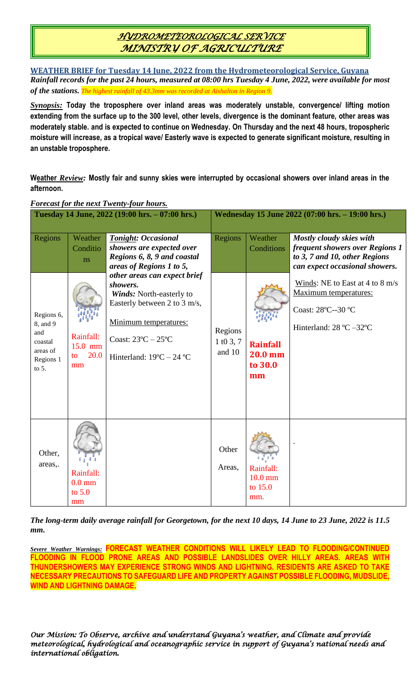# *HYDROMETEOROLOGICAL SERVICE MINISTRY OF AGRICULTURE*

**WEATHER BRIEF for Tuesday 14 June, 2022 from the Hydrometeorological Service, Guyana** *Rainfall records for the past 24 hours, measured at 08:00 hrs Tuesday 4 June, 2022, were available for most of the stations. The highest rainfall of 43.3mm was recorded at Aishalton in Region 9.*

*Synopsis:* **Today the troposphere over inland areas was moderately unstable, convergence/ lifting motion extending from the surface up to the 300 level, other levels, divergence is the dominant feature, other areas was moderately stable. and is expected to continue on Wednesday. On Thursday and the next 48 hours, tropospheric moisture will increase, as a tropical wave/ Easterly wave is expected to generate significant moisture, resulting in an unstable troposphere.**

**Weather** *Review:* **Mostly fair and sunny skies were interrupted by occasional showers over inland areas in the afternoon.**

| Tuesday 14 June, 2022 (19:00 hrs. – 07:00 hrs.)                                          |                                                                         |                                                                                                                                                                                                                                                                                                                                     | Wednesday 15 June 2022 (07:00 hrs. - 19:00 hrs.)              |                                                                      |                                                                                                                                                                                                                                                                 |
|------------------------------------------------------------------------------------------|-------------------------------------------------------------------------|-------------------------------------------------------------------------------------------------------------------------------------------------------------------------------------------------------------------------------------------------------------------------------------------------------------------------------------|---------------------------------------------------------------|----------------------------------------------------------------------|-----------------------------------------------------------------------------------------------------------------------------------------------------------------------------------------------------------------------------------------------------------------|
| Regions<br>Regions 6,<br>8, and 9<br>and<br>coastal<br>areas of<br>Regions 1<br>to $5$ . | Weather<br>Conditio<br>ns<br>Rainfall:<br>$15.0$ mm<br>20.0<br>to<br>mm | <b>Tonight: Occasional</b><br>showers are expected over<br>Regions 6, 8, 9 and coastal<br>areas of Regions 1 to 5,<br>other areas can expect brief<br>showers.<br>Winds: North-easterly to<br>Easterly between 2 to 3 m/s,<br>Minimum temperatures:<br>Coast: $23^{\circ}$ C $- 25^{\circ}$ C<br>Hinterland: $19^{\circ}$ C – 24 °C | Regions<br>Regions<br>$1 \text{ } t0 \text{ } 3, 7$<br>and 10 | Weather<br>Conditions<br><b>Rainfall</b><br>20.0 mm<br>to 30.0<br>mm | Mostly cloudy skies with<br>frequent showers over Regions 1<br>to 3, 7 and 10, other Regions<br>can expect occasional showers.<br>Winds: NE to East at 4 to 8 m/s<br>Maximum temperatures:<br>Coast: 28°C--30 °C<br>Hinterland: $28 \text{ °C} - 32 \text{ °C}$ |
| Other,<br>areas,.                                                                        | Rainfall:<br>$0.0 \text{ mm}$<br>to $5.0$<br>mm                         |                                                                                                                                                                                                                                                                                                                                     | Other<br>Areas,                                               | Rainfall:<br>$10.0$ mm<br>to 15.0<br>mm.                             |                                                                                                                                                                                                                                                                 |

#### *Forecast for the next Twenty-four hours.*

*The long-term daily average rainfall for Georgetown, for the next 10 days, 14 June to 23 June, 2022 is 11.5 mm.*

*Severe Weather Warnings:* **FORECAST WEATHER CONDITIONS WILL LIKELY LEAD TO FLOODING/CONTINUED FLOODING IN FLOOD PRONE AREAS AND POSSIBLE LANDSLIDES OVER HILLY AREAS. AREAS WITH THUNDERSHOWERS MAY EXPERIENCE STRONG WINDS AND LIGHTNING. RESIDENTS ARE ASKED TO TAKE NECESSARY PRECAUTIONS TO SAFEGUARD LIFE AND PROPERTY AGAINST POSSIBLE FLOODING, MUDSLIDE, WIND AND LIGHTNING DAMAGE.**

*Our Mission: To Observe, archive and understand Guyana's weather, and Climate and provide meteorological, hydrological and oceanographic service in support of Guyana's national needs and international obligation.*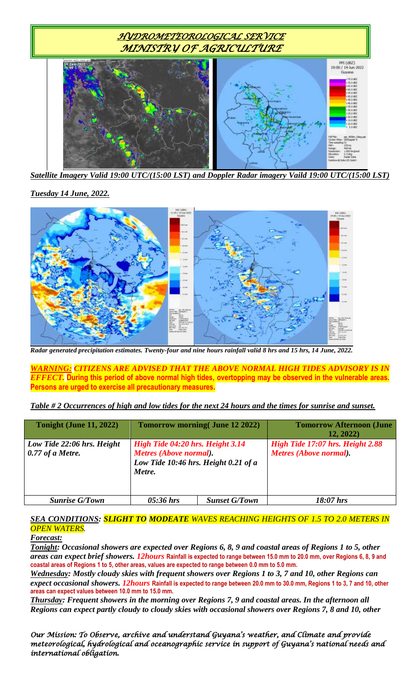

*Satellite Imagery Valid 19:00 UTC/(15:00 LST) and Doppler Radar imagery Vaild 19:00 UTC/(15:00 LST)*

### *Tuesday 14 June, 2022.*



*Radar generated precipitation estimates. Twenty-four and nine hours rainfall valid 8 hrs and 15 hrs, 14 June, 2022.*

*WARNING: CITIZENS ARE ADVISED THAT THE ABOVE NORMAL HIGH TIDES ADVISORY IS IN EFFECT.* **During this period of above normal high tides, overtopping may be observed in the vulnerable areas. Persons are urged to exercise all precautionary measures.**

#### *Table # 2 Occurrences of high and low tides for the next 24 hours and the times for sunrise and sunset.*

| <b>Tonight (June 11, 2022)</b>                   |                                                                                                              | <b>Tomorrow morning (June 12 2022)</b> | <b>Tomorrow Afternoon (June</b><br>12, 2022)               |
|--------------------------------------------------|--------------------------------------------------------------------------------------------------------------|----------------------------------------|------------------------------------------------------------|
| Low Tide 22:06 hrs. Height<br>$0.77$ of a Metre. | High Tide 04:20 hrs. Height 3.14<br>Metres (Above normal).<br>Low Tide 10:46 hrs. Height 0.21 of a<br>Metre. |                                        | High Tide 17:07 hrs. Height 2.88<br>Metres (Above normal). |
| <b>Sunrise G/Town</b>                            | $05:36$ hrs                                                                                                  | <b>Sunset G/Town</b>                   | $18:07$ hrs                                                |

### *SEA CONDITIONS: SLIGHT TO MODEATE WAVES REACHING HEIGHTS OF 1.5 TO 2.0 METERS IN OPEN WATERS.*

#### *Forecast:*

*Tonight: Occasional showers are expected over Regions 6, 8, 9 and coastal areas of Regions 1 to 5, other areas can expect brief showers. 12hours* **Rainfall is expected to range between 15.0 mm to 20.0 mm, over Regions 6, 8, 9 and coastal areas of Regions 1 to 5, other areas, values are expected to range between 0.0 mm to 5.0 mm.**

*Wednesday: Mostly cloudy skies with frequent showers over Regions 1 to 3, 7 and 10, other Regions can expect occasional showers. 12hours* **Rainfall is expected to range between 20.0 mm to 30.0 mm, Regions 1 to 3, 7 and 10, other areas can expect values between 10.0 mm to 15.0 mm.**

*Thursday: Frequent showers in the morning over Regions 7, 9 and coastal areas. In the afternoon all Regions can expect partly cloudy to cloudy skies with occasional showers over Regions 7, 8 and 10, other*

*Our Mission: To Observe, archive and understand Guyana's weather, and Climate and provide meteorological, hydrological and oceanographic service in support of Guyana's national needs and international obligation.*